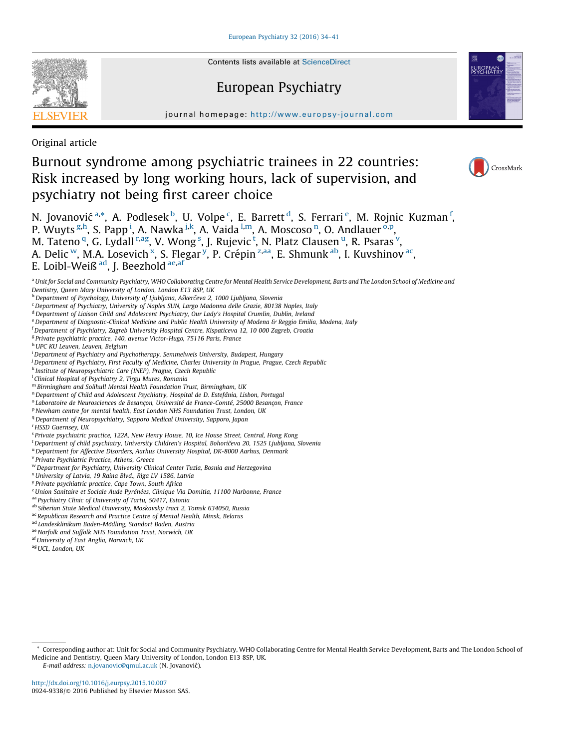Contents lists available at [ScienceDirect](http://www.sciencedirect.com/science/journal/09249338)

# European Psychiatry

journal homepage: http://www.europsy-journal.com

Original article

**SEVIE** 

# Burnout syndrome among psychiatric trainees in 22 countries: Risk increased by long working hours, lack of supervision, and psychiatry not being first career choice

N. Jovanović <sup>a,\*</sup>, A. Podlesek <sup>b</sup>, U. Volpe <sup>c</sup>, E. Barrett <sup>d</sup>, S. Ferrari <sup>e</sup>, M. Rojnic Kuzman <sup>f</sup>, P. Wuyts <sup>g,h</sup>, S. Papp <sup>i</sup>, A. Nawka <sup>j,k</sup>, A. Vaida <sup>l,m</sup>, A. Moscoso <sup>n</sup>, O. Andlauer <sup>o,p</sup>, M. Tateno<sup>q</sup>, G. Lydall <sup>r,ag</sup>, V. Wong<sup>s</sup>, J. Rujevic <sup>t</sup>, N. Platz Clausen <sup>u</sup>, R. Psaras <sup>v</sup>, A. Delic <sup>w</sup>, M.A. Losevich <sup>x</sup>, S. Flegar <sup>y</sup>, P. Crépin <sup>z,aa</sup>, E. Shmunk <sup>ab</sup>, I. Kuvshinov <sup>ac</sup>, E. Loibl-Weiß  $^{ad}$ , J. Beezhold  $^{ae,af}$ 

a Unit for Social and Community Psychiatry, WHO Collaborating Centre for Mental Health Service Development, Barts and The London School of Medicine and Dentistry, Queen Mary University of London, London E13 8SP, UK

- <sup>c</sup> Department of Psychiatry, University of Naples SUN, Largo Madonna delle Grazie, 80138 Naples, Italy
- <sup>d</sup> Department of Liaison Child and Adolescent Psychiatry, Our Lady's Hospital Crumlin, Dublin, Ireland
- e Department of Diagnostic-Clinical Medicine and Public Health University of Modena & Reggio Emilia, Modena, Italy
- f Department of Psychiatry, Zagreb University Hospital Centre, Kispaticeva 12, 10 000 Zagreb, Croatia
- <sup>g</sup> Private psychiatric practice, 140, avenue Victor-Hugo, 75116 Paris, France
- <sup>h</sup>UPC KU Leuven, Leuven, Belgium
- <sup>i</sup> Department of Psychiatry and Psychotherapy, Semmelweis University, Budapest, Hungary
- <sup>j</sup> Department of Psychiatry, First Faculty of Medicine, Charles University in Prague, Prague, Czech Republic
- <sup>k</sup> Institute of Neuropsychiatric Care (INEP), Prague, Czech Republic
- <sup>1</sup> Clinical Hospital of Psychiatry 2, Tirgu Mures, Romania
- <sup>m</sup> Birmingham and Solihull Mental Health Foundation Trust, Birmingham, UK
- <sup>n</sup> Department of Child and Adolescent Psychiatry, Hospital de D. Estefânia, Lisbon, Portugal
- <sup>o</sup> Laboratoire de Neurosciences de Besançon, Université de France-Comté, 25000 Besançon, France
- P Newham centre for mental health, East London NHS Foundation Trust, London, UK
- <sup>q</sup> Department of Neuropsychiatry, Sapporo Medical University, Sapporo, Japan
- r HSSD Guernsey, UK
- <sup>s</sup> Private psychiatric practice, 122A, New Henry House, 10, Ice House Street, Central, Hong Kong
- <sup>t</sup> Department of child psychiatry, University Children's Hospital, Bohoričeva 20, 1525 Ljubljana, Slovenia
- <sup>u</sup> Department for Affective Disorders, Aarhus University Hospital, DK-8000 Aarhus, Denmark
- <sup>v</sup> Private Psychiatric Practice, Athens, Greece
- <sup>w</sup> Department for Psychiatry, University Clinical Center Tuzla, Bosnia and Herzegovina
- <sup>x</sup>University of Latvia, 19 Raina Blvd., Riga LV 1586, Latvia
- <sup>y</sup> Private psychiatric practice, Cape Town, South Africa
- <sup>z</sup> Union Sanitaire et Sociale Aude Pyrénées, Clinique Via Domitia, 11100 Narbonne, France
- aa Psychiatry Clinic of University of Tartu, 50417, Estonia
- ab Siberian State Medical University, Moskovsky tract 2, Tomsk 634050, Russia
- ac Republican Research and Practice Centre of Mental Health, Minsk, Belarus
- ad Landesklinikum Baden-Mödling, Standort Baden, Austria
- ae Norfolk and Suffolk NHS Foundation Trust, Norwich, UK
- af University of East Anglia, Norwich, UK
- ag UCL, London, UK

E-mail address: [n.jovanovic@qmul.ac.uk](mailto:n.jovanovic@qmul.ac.uk) (N. Jovanović).



CrossMark

<sup>&</sup>lt;sup>b</sup> Department of Psychology, University of Ljubljana, Aškerčeva 2, 1000 Ljubljana, Slovenia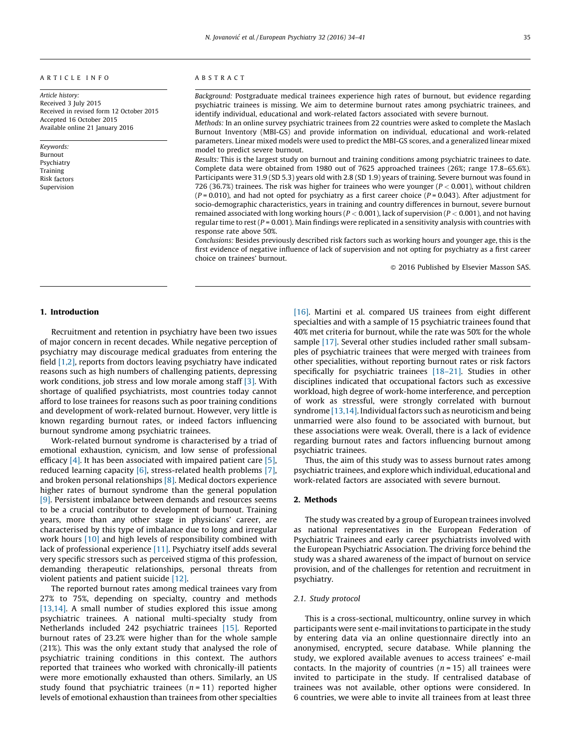#### A R T I C L E I N F O

Article history: Received 3 July 2015 Received in revised form 12 October 2015 Accepted 16 October 2015 Available online 21 January 2016

Keywords: Burnout Psychiatry Training Risk factors Supervision

#### A B S T R A C T

Background: Postgraduate medical trainees experience high rates of burnout, but evidence regarding psychiatric trainees is missing. We aim to determine burnout rates among psychiatric trainees, and identify individual, educational and work-related factors associated with severe burnout.

Methods: In an online survey psychiatric trainees from 22 countries were asked to complete the Maslach Burnout Inventory (MBI-GS) and provide information on individual, educational and work-related parameters. Linear mixed models were used to predict the MBI-GS scores, and a generalized linear mixed model to predict severe burnout.

Results: This is the largest study on burnout and training conditions among psychiatric trainees to date. Complete data were obtained from 1980 out of 7625 approached trainees (26%; range 17.8–65.6%). Participants were 31.9 (SD 5.3) years old with 2.8 (SD 1.9) years of training. Severe burnout was found in 726 (36.7%) trainees. The risk was higher for trainees who were younger ( $P < 0.001$ ), without children  $(P = 0.010)$ , and had not opted for psychiatry as a first career choice  $(P = 0.043)$ . After adjustment for socio-demographic characteristics, years in training and country differences in burnout, severe burnout remained associated with long working hours ( $P < 0.001$ ), lack of supervision ( $P < 0.001$ ), and not having regular time to rest ( $P = 0.001$ ). Main findings were replicated in a sensitivity analysis with countries with response rate above 50%.

Conclusions: Besides previously described risk factors such as working hours and younger age, this is the first evidence of negative influence of lack of supervision and not opting for psychiatry as a first career choice on trainees' burnout.

- 2016 Published by Elsevier Masson SAS.

# 1. Introduction

Recruitment and retention in psychiatry have been two issues of major concern in recent decades. While negative perception of psychiatry may discourage medical graduates from entering the field [\[1,2\]](#page-6-0), reports from doctors leaving psychiatry have indicated reasons such as high numbers of challenging patients, depressing work conditions, job stress and low morale among staff [\[3\].](#page-7-0) With shortage of qualified psychiatrists, most countries today cannot afford to lose trainees for reasons such as poor training conditions and development of work-related burnout. However, very little is known regarding burnout rates, or indeed factors influencing burnout syndrome among psychiatric trainees.

Work-related burnout syndrome is characterised by a triad of emotional exhaustion, cynicism, and low sense of professional efficacy  $[4]$ . It has been associated with impaired patient care  $[5]$ , reduced learning capacity [\[6\],](#page-7-0) stress-related health problems [\[7\],](#page-7-0) and broken personal relationships [\[8\]](#page-7-0). Medical doctors experience higher rates of burnout syndrome than the general population [\[9\]](#page-7-0). Persistent imbalance between demands and resources seems to be a crucial contributor to development of burnout. Training years, more than any other stage in physicians' career, are characterised by this type of imbalance due to long and irregular work hours [\[10\]](#page-7-0) and high levels of responsibility combined with lack of professional experience [\[11\].](#page-7-0) Psychiatry itself adds several very specific stressors such as perceived stigma of this profession, demanding therapeutic relationships, personal threats from violent patients and patient suicide [\[12\].](#page-7-0)

The reported burnout rates among medical trainees vary from 27% to 75%, depending on specialty, country and methods [\[13,14\].](#page-7-0) A small number of studies explored this issue among psychiatric trainees. A national multi-specialty study from Netherlands included 242 psychiatric trainees [\[15\].](#page-7-0) Reported burnout rates of 23.2% were higher than for the whole sample (21%). This was the only extant study that analysed the role of psychiatric training conditions in this context. The authors reported that trainees who worked with chronically-ill patients were more emotionally exhausted than others. Similarly, an US study found that psychiatric trainees  $(n = 11)$  reported higher levels of emotional exhaustion than trainees from other specialties [\[16\]](#page-7-0). Martini et al. compared US trainees from eight different specialties and with a sample of 15 psychiatric trainees found that 40% met criteria for burnout, while the rate was 50% for the whole sample [\[17\]](#page-7-0). Several other studies included rather small subsamples of psychiatric trainees that were merged with trainees from other specialities, without reporting burnout rates or risk factors specifically for psychiatric trainees [\[18–21\].](#page-7-0) Studies in other disciplines indicated that occupational factors such as excessive workload, high degree of work-home interference, and perception of work as stressful, were strongly correlated with burnout syndrome [\[13,14\]](#page-7-0). Individual factors such as neuroticism and being unmarried were also found to be associated with burnout, but these associations were weak. Overall, there is a lack of evidence regarding burnout rates and factors influencing burnout among psychiatric trainees.

Thus, the aim of this study was to assess burnout rates among psychiatric trainees, and explore which individual, educational and work-related factors are associated with severe burnout.

# 2. Methods

The study was created by a group of European trainees involved as national representatives in the European Federation of Psychiatric Trainees and early career psychiatrists involved with the European Psychiatric Association. The driving force behind the study was a shared awareness of the impact of burnout on service provision, and of the challenges for retention and recruitment in psychiatry.

#### 2.1. Study protocol

This is a cross-sectional, multicountry, online survey in which participants were sent e-mail invitations to participate in the study by entering data via an online questionnaire directly into an anonymised, encrypted, secure database. While planning the study, we explored available avenues to access trainees' e-mail contacts. In the majority of countries  $(n = 15)$  all trainees were invited to participate in the study. If centralised database of trainees was not available, other options were considered. In 6 countries, we were able to invite all trainees from at least three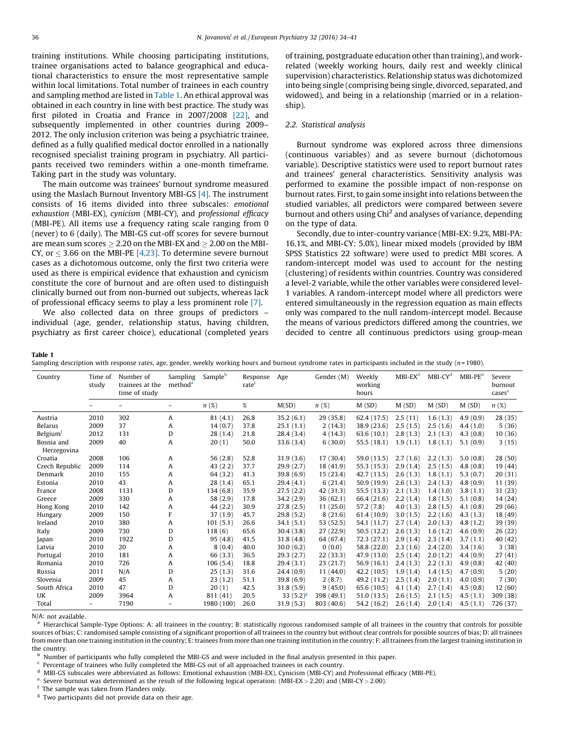<span id="page-2-0"></span>training institutions. While choosing participating institutions, trainee organisations acted to balance geographical and educational characteristics to ensure the most representative sample within local limitations. Total number of trainees in each country and sampling method are listed in Table 1. An ethical approval was obtained in each country in line with best practice. The study was first piloted in Croatia and France in 2007/2008 [\[22\],](#page-7-0) and subsequently implemented in other countries during 2009– 2012. The only inclusion criterion was being a psychiatric trainee, defined as a fully qualified medical doctor enrolled in a nationally recognised specialist training program in psychiatry. All participants received two reminders within a one-month timeframe. Taking part in the study was voluntary.

The main outcome was trainees' burnout syndrome measured using the Maslach Burnout Inventory MBI-GS  $[4]$ . The instrument consists of 16 items divided into three subscales: emotional exhaustion (MBI-EX), cynicism (MBI-CY), and professional efficacy (MBI-PE). All items use a frequency rating scale ranging from 0 (never) to 6 (daily). The MBI-GS cut-off scores for severe burnout are mean sum scores  $\geq$  2.20 on the MBI-EX and  $\geq$  2.00 on the MBI-CY, or  $\leq$  3.66 on the MBI-PE [\[4,23\]](#page-7-0). To determine severe burnout cases as a dichotomous outcome, only the first two criteria were used as there is empirical evidence that exhaustion and cynicism constitute the core of burnout and are often used to distinguish clinically burned out from non-burned out subjects, whereas lack of professional efficacy seems to play a less prominent role [\[7\].](#page-7-0)

We also collected data on three groups of predictors – individual (age, gender, relationship status, having children, psychiatry as first career choice), educational (completed years of training, postgraduate education other than training), and workrelated (weekly working hours, daily rest and weekly clinical supervision) characteristics. Relationship status was dichotomized into being single (comprising being single, divorced, separated, and widowed), and being in a relationship (married or in a relationship).

#### 2.2. Statistical analysis

Burnout syndrome was explored across three dimensions (continuous variables) and as severe burnout (dichotomous variable). Descriptive statistics were used to report burnout rates and trainees' general characteristics. Sensitivity analysis was performed to examine the possible impact of non-response on burnout rates. First, to gain some insight into relations between the studied variables, all predictors were compared between severe burnout and others using Chi<sup>2</sup> and analyses of variance, depending on the type of data.

Secondly, due to inter-country variance (MBI-EX: 9.2%, MBI-PA: 16.1%, and MBI-CY: 5.0%), linear mixed models (provided by IBM SPSS Statistics 22 software) were used to predict MBI scores. A random-intercept model was used to account for the nesting (clustering) of residents within countries. Country was considered a level-2 variable, while the other variables were considered level-1 variables. A random-intercept model where all predictors were entered simultaneously in the regression equation as main effects only was compared to the null random-intercept model. Because the means of various predictors differed among the countries, we decided to centre all continuous predictors using group-mean

#### Table 1

Sampling description with response rates, age, gender, weekly working hours and burnout syndrome rates in participants included in the study ( $n = 1980$ ).

| Country              | Time of<br>study         | Number of<br>trainees at the<br>time of study | Sampling<br>method <sup>a</sup> | Sample <sup>b</sup> | Response<br>ratec | Age          | Gender (M) | Weekly<br>working<br>hours | $MBI$ -EX <sup>d</sup> | MBI-CY <sup>d</sup> | $MBI-PEd$ | Severe<br>burnout<br>cases <sup>e</sup> |
|----------------------|--------------------------|-----------------------------------------------|---------------------------------|---------------------|-------------------|--------------|------------|----------------------------|------------------------|---------------------|-----------|-----------------------------------------|
|                      |                          | -                                             | $\overline{\phantom{a}}$        | n(%)                | $\%$              | M(SD)        | n(%)       | M(SD)                      | M(SD)                  | M(SD)               | M(SD)     | $n(\mathcal{X})$                        |
| Austria              | 2010                     | 302                                           | A                               | 81(4.1)             | 26.8              | 35.2(6.1)    | 29(35.8)   | 62.4 (17.5)                | 2.5(11)                | 1.6(1.3)            | 4.9(0.9)  | 28(35)                                  |
| Belarus              | 2009                     | 37                                            | A                               | 14(0.7)             | 37.8              | 25.1(1.1)    | 2(14.3)    | 38.9 (23.6)                | 2.5(1.5)               | 2.5(1.6)            | 4.4(1.0)  | 5(36)                                   |
| Belgium <sup>f</sup> | 2012                     | 131                                           | D                               | 28(1.4)             | 21.8              | 28.4(3.4)    | 4(14.3)    | 63.6(10.1)                 | 2.8(1.3)               | 2.1(1.3)            | 4.3(0.8)  | 10(36)                                  |
| Bosnia and           | 2009                     | 40                                            | Α                               | 20(1)               | 50.0              | 33.6(3.4)    | 6(30.0)    | 55.5 (18.1)                | 1.9(1.1)               | 1.8(1.1)            | 5.1(0.9)  | 3(15)                                   |
| Herzegovina          |                          |                                               |                                 |                     |                   |              |            |                            |                        |                     |           |                                         |
| Croatia              | 2008                     | 106                                           | Α                               | 56(2.8)             | 52.8              | 31.9(3.6)    | 17(30.4)   | 59.0 (13.5)                | 2.7(1.6)               | 2.2(1.3)            | 5.0(0.8)  | 28(50)                                  |
| Czech Republic       | 2009                     | 114                                           | Α                               | 43 $(2.2)$          | 37.7              | 29.9(2.7)    | 18(41.9)   | 55.3 (15.3)                | 2.9(1.4)               | 2.5(1.5)            | 4.8(0.8)  | 19(44)                                  |
| Denmark              | 2010                     | 155                                           | A                               | 64(3.2)             | 41.3              | 39.8(6.9)    | 15(23.4)   | 42.7 (13.5)                | 2.6(1.3)               | 1.8(1.1)            | 5.3(0.7)  | 20(31)                                  |
| Estonia              | 2010                     | 43                                            | A                               | 28(1.4)             | 65.1              | 29.4(4.1)    | 6(21.4)    | 50.9 (19.9)                | 2.6(1.3)               | 2.4(1.3)            | 4.8(0.9)  | 11 (39)                                 |
| France               | 2008                     | 1131                                          | D                               | 134(6.8)            | 35.9              | 27.5(2.2)    | 42 (31.3)  | 55.5 (13.3)                | 2.1(1.3)               | 1.4(1.0)            | 3.8(1.1)  | 31(23)                                  |
| Greece               | 2009                     | 330                                           | Α                               | 58(2.9)             | 17.8              | 34.2(2.9)    | 36(62.1)   | 66.4 (21.6)                | 2.2(1.4)               | 1.8(1.5)            | 5.1(0.8)  | 14 (24)                                 |
| Hong Kong            | 2010                     | 142                                           | A                               | 44(2.2)             | 30.9              | 27.8(2.5)    | 11(25.0)   | 57.2(7.8)                  | 4.0(1.3)               | 2.8(1.5)            | 4.1(0.8)  | 29(66)                                  |
| Hungary              | 2009                     | 150                                           | F                               | 37(1.9)             | 45.7              | 29.8(5.2)    | 8(21.6)    | 61.4(10.9)                 | 3.0(1.5)               | 2.2(1.6)            | 4.3(1.3)  | 18 (49)                                 |
| Ireland              | 2010                     | 380                                           | Α                               | 101(5.1)            | 26.6              | 34.1(5.1)    | 53(52.5)   | 54.1 (11.7)                | 2.7(1.4)               | 2.0(1.3)            | 4.8(1.2)  | 39 (39)                                 |
| Italy                | 2009                     | 730                                           | D                               | 118(6)              | 65.6              | 30.4(3.8)    | 27(22.9)   | 50.5(12.2)                 | 2.6(1.3)               | 1.6(1.2)            | 4.6(0.9)  | 26(22)                                  |
| Japan                | 2010                     | 1922                                          | D                               | 95(4.8)             | 41.5              | 31.8(4.8)    | 64 (67.4)  | 72.3(27.1)                 | 2.9(1.4)               | 2.3(1.4)            | 3.7(1.1)  | 40(42)                                  |
| Latvia               | 2010                     | 20                                            | A                               | 8(0.4)              | 40.0              | 30.0(6.2)    | 0(0.0)     | 58.8 (22.0)                | 2.3(1.6)               | 2.4(2.0)            | 3.4(1.6)  | 3(38)                                   |
| Portugal             | 2010                     | 181                                           | A                               | 66(3.3)             | 36.5              | 29.3(2.7)    | 22(33.3)   | 47.9 (13.0)                | 2.5(1.4)               | 2.0(1.2)            | 4.4(0.9)  | 27(41)                                  |
| Romania              | 2010                     | 726                                           | A                               | 106(5.4)            | 18.8              | 29.4(3.1)    | 23(21.7)   | 56.9 (16.1)                | 2.4(1.3)               | 2.2(1.3)            | 4.9(0.8)  | 42 (40)                                 |
| Russia               | 2011                     | N/A                                           | D                               | 25(1.3)             | 31.6              | 24.4(0.9)    | 11(44.0)   | 42.2 (10.5)                | 1.9(1.4)               | 1.4(1.5)            | 4.7(0.9)  | 5(20)                                   |
| Slovenia             | 2009                     | 45                                            | A                               | 23(1.2)             | 51.1              | 39.8(6.9)    | 2(8.7)     | 49.2 (11.2)                | 2.5(1.4)               | 2.0(1.1)            | 4.0(0.9)  | 7(30)                                   |
| South Africa         | 2010                     | 47                                            | D                               | 20(1)               | 42.5              | 31.8(5.9)    | 9(45.0)    | 65.6 (10.5)                | 4.1(1.4)               | 2.7(1.4)            | 4.5(0.8)  | 12(60)                                  |
| UK                   | 2009                     | 3964                                          | A                               | 811 (41)            | 20.5              | 33 $(5.2)^g$ | 398 (49.1) | 51.0(13.5)                 | 2.6(1.5)               | 2.1(1.5)            | 4.5(1.1)  | 309 (38)                                |
| Total                | $\overline{\phantom{0}}$ | 7190                                          | $\overline{\phantom{0}}$        | 1980 (100)          | 26.0              | 31.9(5.3)    | 803 (40.6) | 54.2 (16.2)                | 2.6(1.4)               | 2.0(1.4)            | 4.5(1.1)  | 726 (37)                                |

N/A: not available.

Hierarchical Sample-Type Options: A: all trainees in the country; B: statistically rigorous randomised sample of all trainees in the country that controls for possible sources of bias; C: randomised sample consisting of a significant proportion of all trainees in the country but without clear controls for possible sources of bias; D: all trainees from more than one training institution in the country; E: trainees from more than one training institution in the country; F: all trainees from the largest training institution in the country.

<sup>b</sup> Number of participants who fully completed the MBI-GS and were included in the final analysis presented in this paper.

 $c$  Percentage of trainees who fully completed the MBI-GS out of all approached trainees in each country.

<sup>d</sup> MBI-GS subscales were abbreviated as follows: Emotional exhaustion (MBI-EX), Cynicism (MBI-CY) and Professional efficacy (MBI-PE).

 $e$  Severe burnout was determined as the result of the following logical operation: (MBI-EX > 2.20) and (MBI-CY > 2.00).

<sup>f</sup> The sample was taken from Flanders only.

<sup>g</sup> Two participants did not provide data on their age.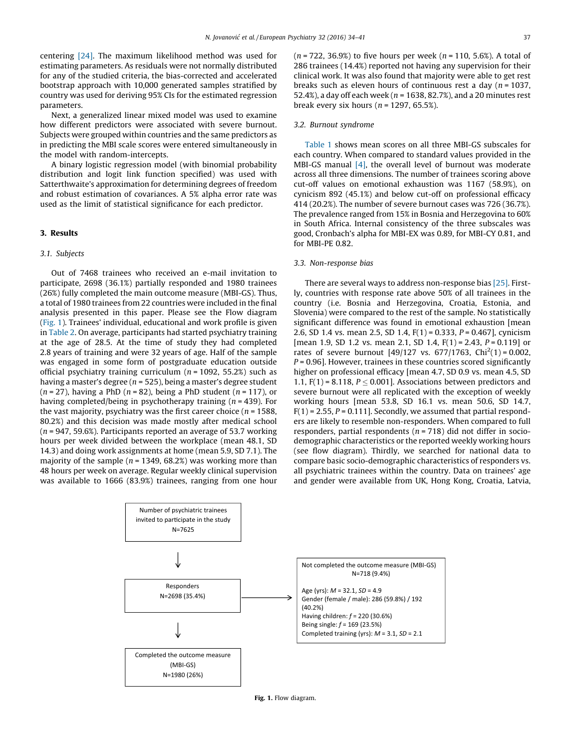centering [\[24\]](#page-7-0). The maximum likelihood method was used for estimating parameters. As residuals were not normally distributed for any of the studied criteria, the bias-corrected and accelerated bootstrap approach with 10,000 generated samples stratified by country was used for deriving 95% CIs for the estimated regression parameters.

Next, a generalized linear mixed model was used to examine how different predictors were associated with severe burnout. Subjects were grouped within countries and the same predictors as in predicting the MBI scale scores were entered simultaneously in the model with random-intercepts.

A binary logistic regression model (with binomial probability distribution and logit link function specified) was used with Satterthwaite's approximation for determining degrees of freedom and robust estimation of covariances. A 5% alpha error rate was used as the limit of statistical significance for each predictor.

## 3. Results

## 3.1. Subjects

Out of 7468 trainees who received an e-mail invitation to participate, 2698 (36.1%) partially responded and 1980 trainees (26%) fully completed the main outcome measure (MBI-GS). Thus, a total of 1980 trainees from 22 countries were included in the final analysis presented in this paper. Please see the Flow diagram (Fig. 1). Trainees' individual, educational and work profile is given in [Table](#page-4-0) 2. On average, participants had started psychiatry training at the age of 28.5. At the time of study they had completed 2.8 years of training and were 32 years of age. Half of the sample was engaged in some form of postgraduate education outside official psychiatry training curriculum ( $n = 1092, 55.2\%$ ) such as having a master's degree ( $n = 525$ ), being a master's degree student  $(n = 27)$ , having a PhD  $(n = 82)$ , being a PhD student  $(n = 117)$ , or having completed/being in psychotherapy training  $(n = 439)$ . For the vast majority, psychiatry was the first career choice ( $n = 1588$ , 80.2%) and this decision was made mostly after medical school  $(n = 947, 59.6\%)$ . Participants reported an average of 53.7 working hours per week divided between the workplace (mean 48.1, SD 14.3) and doing work assignments at home (mean 5.9, SD 7.1). The majority of the sample ( $n = 1349, 68.2%$ ) was working more than 48 hours per week on average. Regular weekly clinical supervision was available to 1666 (83.9%) trainees, ranging from one hour  $(n = 722, 36.9%)$  to five hours per week  $(n = 110, 5.6%)$ . A total of 286 trainees (14.4%) reported not having any supervision for their clinical work. It was also found that majority were able to get rest breaks such as eleven hours of continuous rest a day ( $n = 1037$ , 52.4%), a day off each week ( $n = 1638, 82.7%$ ), and a 20 minutes rest break every six hours ( $n = 1297, 65.5\%$ ).

### 3.2. Burnout syndrome

[Table](#page-2-0) 1 shows mean scores on all three MBI-GS subscales for each country. When compared to standard values provided in the MBI-GS manual [\[4\],](#page-7-0) the overall level of burnout was moderate across all three dimensions. The number of trainees scoring above cut-off values on emotional exhaustion was 1167 (58.9%), on cynicism 892 (45.1%) and below cut-off on professional efficacy 414 (20.2%). The number of severe burnout cases was 726 (36.7%). The prevalence ranged from 15% in Bosnia and Herzegovina to 60% in South Africa. Internal consistency of the three subscales was good, Cronbach's alpha for MBI-EX was 0.89, for MBI-CY 0.81, and for MBI-PE 0.82.

#### 3.3. Non-response bias

There are several ways to address non-response bias [\[25\]](#page-7-0). Firstly, countries with response rate above 50% of all trainees in the country (i.e. Bosnia and Herzegovina, Croatia, Estonia, and Slovenia) were compared to the rest of the sample. No statistically significant difference was found in emotional exhaustion [mean 2.6, SD 1.4 vs. mean 2.5, SD 1.4, F(1) = 0.333, P = 0.467], cynicism [mean 1.9, SD 1.2 vs. mean 2.1, SD 1.4,  $F(1) = 2.43$ ,  $P = 0.119$ ] or rates of severe burnout  $[49/127$  vs. 677/1763, Chi<sup>2</sup>(1) = 0.002,  $P = 0.96$ ]. However, trainees in these countries scored significantly higher on professional efficacy [mean 4.7, SD 0.9 vs. mean 4.5, SD 1.1,  $F(1) = 8.118$ ,  $P < 0.001$ ]. Associations between predictors and severe burnout were all replicated with the exception of weekly working hours [mean 53.8, SD 16.1 vs. mean 50.6, SD 14.7,  $F(1) = 2.55$ ,  $P = 0.111$ ]. Secondly, we assumed that partial responders are likely to resemble non-responders. When compared to full responders, partial respondents ( $n = 718$ ) did not differ in sociodemographic characteristics or the reported weekly working hours (see flow diagram). Thirdly, we searched for national data to compare basic socio-demographic characteristics of responders vs. all psychiatric trainees within the country. Data on trainees' age and gender were available from UK, Hong Kong, Croatia, Latvia,



Fig. 1. Flow diagram.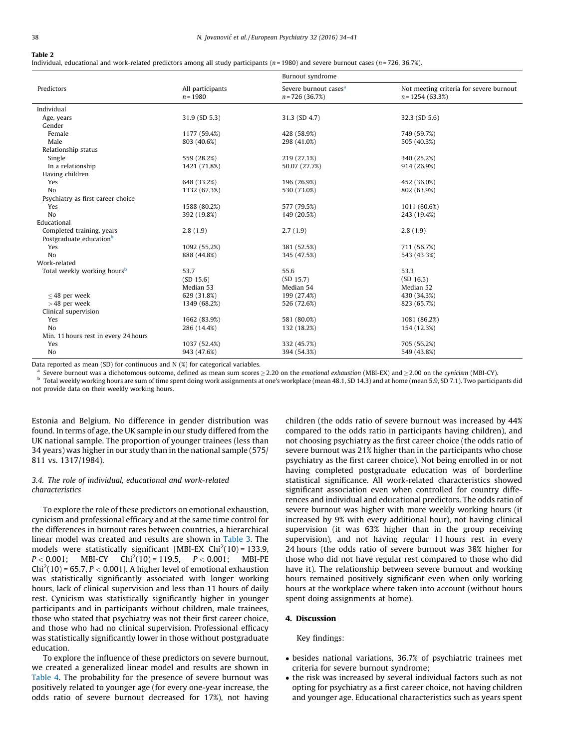## <span id="page-4-0"></span>Table 2

Individual, educational and work-related predictors among all study participants (n=1980) and severe burnout cases (n=726, 36.7%).

|                                         |                                | Burnout syndrome                                      |                                                              |  |  |  |
|-----------------------------------------|--------------------------------|-------------------------------------------------------|--------------------------------------------------------------|--|--|--|
| Predictors                              | All participants<br>$n = 1980$ | Severe burnout cases <sup>a</sup><br>$n = 726(36.7%)$ | Not meeting criteria for severe burnout<br>$n = 1254(63.3%)$ |  |  |  |
| Individual                              |                                |                                                       |                                                              |  |  |  |
| Age, years                              | 31.9 (SD 5.3)                  | 31.3 (SD 4.7)                                         | 32.3 (SD 5.6)                                                |  |  |  |
| Gender                                  |                                |                                                       |                                                              |  |  |  |
| Female                                  | 1177 (59.4%)                   | 428 (58.9%)                                           | 749 (59.7%)                                                  |  |  |  |
| Male                                    | 803 (40.6%)                    | 298 (41.0%)                                           | 505 (40.3%)                                                  |  |  |  |
| Relationship status                     |                                |                                                       |                                                              |  |  |  |
| Single                                  | 559 (28.2%)                    | 219 (27.1%)                                           | 340 (25.2%)                                                  |  |  |  |
| In a relationship                       | 1421 (71.8%)                   | 50.07 (27.7%)                                         | 914 (26.9%)                                                  |  |  |  |
| Having children                         |                                |                                                       |                                                              |  |  |  |
| Yes                                     | 648 (33.2%)                    | 196 (26.9%)                                           | 452 (36.0%)                                                  |  |  |  |
| N <sub>0</sub>                          | 1332 (67.3%)                   | 530 (73.0%)                                           | 802 (63.9%)                                                  |  |  |  |
| Psychiatry as first career choice       |                                |                                                       |                                                              |  |  |  |
| Yes                                     | 1588 (80.2%)                   | 577 (79.5%)                                           | 1011 (80.6%)                                                 |  |  |  |
| No                                      | 392 (19.8%)                    | 149 (20.5%)                                           | 243 (19.4%)                                                  |  |  |  |
| Educational                             |                                |                                                       |                                                              |  |  |  |
| Completed training, years               | 2.8(1.9)                       | 2.7(1.9)                                              | 2.8(1.9)                                                     |  |  |  |
| Postgraduate education <sup>b</sup>     |                                |                                                       |                                                              |  |  |  |
| Yes                                     | 1092 (55.2%)                   | 381 (52.5%)                                           | 711 (56.7%)                                                  |  |  |  |
| N <sub>o</sub>                          | 888 (44.8%)                    | 345 (47.5%)                                           | 543 (43.3%)                                                  |  |  |  |
| Work-related                            |                                |                                                       |                                                              |  |  |  |
| Total weekly working hours <sup>b</sup> | 53.7                           | 55.6                                                  | 53.3                                                         |  |  |  |
|                                         | (SD 15.6)                      | (SD 15.7)                                             | (SD 16.5)                                                    |  |  |  |
|                                         | Median 53                      | Median 54                                             | Median 52                                                    |  |  |  |
| $<$ 48 per week                         | 629 (31.8%)                    | 199 (27.4%)                                           | 430 (34.3%)                                                  |  |  |  |
| $>48$ per week                          | 1349 (68.2%)                   | 526 (72.6%)                                           | 823 (65.7%)                                                  |  |  |  |
| Clinical supervision                    |                                |                                                       |                                                              |  |  |  |
| Yes                                     | 1662 (83.9%)                   | 581 (80.0%)                                           | 1081 (86.2%)                                                 |  |  |  |
| N <sub>o</sub>                          | 286 (14.4%)                    | 132 (18.2%)                                           | 154 (12.3%)                                                  |  |  |  |
| Min. 11 hours rest in every 24 hours    |                                |                                                       |                                                              |  |  |  |
| Yes                                     | 1037 (52.4%)                   | 332 (45.7%)                                           | 705 (56.2%)                                                  |  |  |  |
| No                                      | 943 (47.6%)                    | 394 (54.3%)                                           | 549 (43.8%)                                                  |  |  |  |

Data reported as mean (SD) for continuous and N (%) for categorical variables.

<sup>a</sup> Severe burnout was a dichotomous outcome, defined as mean sum scores  $\geq$  2.20 on the emotional exhaustion (MBI-EX) and  $\geq$  2.00 on the cynicism (MBI-CY).

b Total weekly working hours are sum of time spent doing work assignments at one's workplace (mean 48.1, SD 14.3) and at home (mean 5.9, SD 7.1). Two participants did not provide data on their weekly working hours.

Estonia and Belgium. No difference in gender distribution was found. In terms of age, the UK sample in our study differed from the UK national sample. The proportion of younger trainees (less than 34 years) was higher in our study than in the national sample (575/ 811 vs. 1317/1984).

## 3.4. The role of individual, educational and work-related characteristics

To explore the role of these predictors on emotional exhaustion, cynicism and professional efficacy and at the same time control for the differences in burnout rates between countries, a hierarchical linear model was created and results are shown in [Table](#page-5-0) 3. The models were statistically significant [MBI-EX Chi<sup>2</sup>(10) = 133.9,  $P < 0.001$ ; MBI-CY  $Chi^2(10) = 119.5$ ,  $P < 0.001$ ; MBI-PE Chi<sup>2</sup>(10) = 65.7,  $P < 0.001$ ]. A higher level of emotional exhaustion was statistically significantly associated with longer working hours, lack of clinical supervision and less than 11 hours of daily rest. Cynicism was statistically significantly higher in younger participants and in participants without children, male trainees, those who stated that psychiatry was not their first career choice, and those who had no clinical supervision. Professional efficacy was statistically significantly lower in those without postgraduate education.

To explore the influence of these predictors on severe burnout, we created a generalized linear model and results are shown in [Table](#page-5-0) 4. The probability for the presence of severe burnout was positively related to younger age (for every one-year increase, the odds ratio of severe burnout decreased for 17%), not having children (the odds ratio of severe burnout was increased by 44% compared to the odds ratio in participants having children), and not choosing psychiatry as the first career choice (the odds ratio of severe burnout was 21% higher than in the participants who chose psychiatry as the first career choice). Not being enrolled in or not having completed postgraduate education was of borderline statistical significance. All work-related characteristics showed significant association even when controlled for country differences and individual and educational predictors. The odds ratio of severe burnout was higher with more weekly working hours (it increased by 9% with every additional hour), not having clinical supervision (it was 63% higher than in the group receiving supervision), and not having regular 11 hours rest in every 24 hours (the odds ratio of severe burnout was 38% higher for those who did not have regular rest compared to those who did have it). The relationship between severe burnout and working hours remained positively significant even when only working hours at the workplace where taken into account (without hours spent doing assignments at home).

# 4. Discussion

Key findings:

- besides national variations, 36.7% of psychiatric trainees met criteria for severe burnout syndrome;
- the risk was increased by several individual factors such as not opting for psychiatry as a first career choice, not having children and younger age. Educational characteristics such as years spent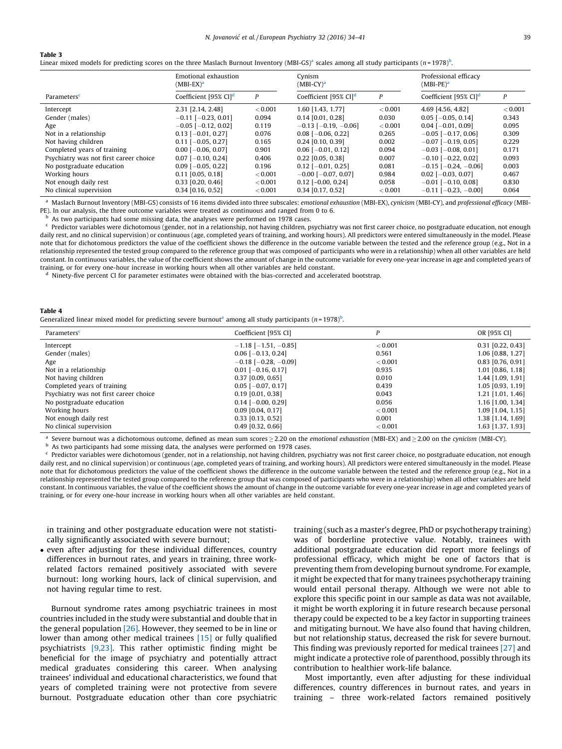#### <span id="page-5-0"></span>Table 3

Linear mixed models for predicting scores on the three Maslach Burnout Inventory (MBI-GS)<sup>a</sup> scales among all study participants (n=1978)<sup>b</sup>.

|                                        | Emotional exhaustion<br>$(MBI-EX)^a$ |         | Cynism<br>$(MBI-CY)^a$            |         | Professional efficacy<br>$(MBI-PE)^a$ |         |  |
|----------------------------------------|--------------------------------------|---------|-----------------------------------|---------|---------------------------------------|---------|--|
| Parameters <sup>c</sup>                | Coefficient [95% CI] <sup>d</sup>    |         | Coefficient [95% CI] <sup>d</sup> | P       | Coefficient [95% CI] <sup>d</sup>     | P       |  |
| Intercept                              | 2.31 [2.14, 2.48]                    | < 0.001 | 1.60 [1.43, 1.77]                 | < 0.001 | 4.69 [4.56, 4.82]                     | < 0.001 |  |
| Gender (males)                         | $-0.11$ [ $-0.23$ , 0.01]            | 0.094   | $0.14$ [0.01, 0.28]               | 0.030   | $0.05$ [-0.05, 0.14]                  | 0.343   |  |
| Age                                    | $-0.05$ [ $-0.12$ , 0.02]            | 0.119   | $-0.13$ [ $-0.19$ , $-0.06$ ]     | < 0.001 | $0.04$ [-0.01, 0.09]                  | 0.095   |  |
| Not in a relationship                  | $0.13$ [-0.01, 0.27]                 | 0.076   | $0.08$ [-0.06, 0.22]              | 0.265   | $-0.05$ [ $-0.17$ , 0.06]             | 0.309   |  |
| Not having children                    | $0.11$ [-0.05, 0.27]                 | 0.165   | $0.24$ [0.10, 0.39]               | 0.002   | $-0.07$ [ $-0.19$ , 0.05]             | 0.229   |  |
| Completed years of training            | $0.00$ [-0.06, 0.07]                 | 0.901   | $0.06$ [ $-0.01$ , 0.12]          | 0.094   | $-0.03$ [ $-0.08$ , 0.01]             | 0.171   |  |
| Psychiatry was not first career choice | $0.07$ [-0.10, 0.24]                 | 0.406   | $0.22$ [0.05, 0.38]               | 0.007   | $-0.10$ [ $-0.22$ , 0.02]             | 0.093   |  |
| No postgraduate education              | $0.09$ [-0.05, 0.22]                 | 0.196   | $0.12$ [-0.01, 0.25]              | 0.081   | $-0.15$ [ $-0.24$ , $-0.06$ ]         | 0.003   |  |
| Working hours                          | $0.11$ [0.05, 0.18]                  | < 0.001 | $-0.00$ [ $-0.07$ , 0.07]         | 0.984   | $0.02$ [-0.03, 0.07]                  | 0.467   |  |
| Not enough daily rest                  | $0.33$ [0.20, 0.46]                  | < 0.001 | $0.12$ [-0.00, 0.24]              | 0.058   | $-0.01$ [ $-0.10$ , 0.08]             | 0.830   |  |
| No clinical supervision                | $0.34$ [0.16, 0.52]                  | < 0.001 | $0.34$ [0.17, 0.52]               | < 0.001 | $-0.11$ [ $-0.23$ , $-0.00$ ]         | 0.064   |  |

Maslach Burnout Inventory (MBI-GS) consists of 16 items divided into three subscales: emotional exhaustion (MBI-EX), cynicism (MBI-CY), and professional efficacy (MBI-PE). In our analysis, the three outcome variables were treated as continuous and ranged from 0 to 6.

 $\frac{b}{c}$  As two participants had some missing data, the analyses were performed on 1978 cases.

Predictor variables were dichotomous (gender, not in a relationship, not having children, psychiatry was not first career choice, no postgraduate education, not enough daily rest, and no clinical supervision) or continuous (age, completed years of training, and working hours). All predictors were entered simultaneously in the model. Please note that for dichotomous predictors the value of the coefficient shows the difference in the outcome variable between the tested and the reference group (e.g., Not in a relationship represented the tested group compared to the reference group that was composed of participants who were in a relationship) when all other variables are held constant. In continuous variables, the value of the coefficient shows the amount of change in the outcome variable for every one-year increase in age and completed years of training, or for every one-hour increase in working hours when all other variables are held constant.

<sup>d</sup> Ninety-five percent CI for parameter estimates were obtained with the bias-corrected and accelerated bootstrap.

#### Table 4

Generalized linear mixed model for predicting severe burnout<sup>a</sup> among all study participants (n=1978)<sup>b</sup>.

| Parameters <sup>c</sup>                | Coefficient [95% CI]          | P       | OR [95% CI]         |
|----------------------------------------|-------------------------------|---------|---------------------|
| Intercept                              | $-1.18$ [ $-1.51$ , $-0.85$ ] | < 0.001 | $0.31$ [0.22, 0.43] |
| Gender (males)                         | $0.06$ [-0.13, 0.24]          | 0.561   | 1.06 [0.88, 1.27]   |
| Age                                    | $-0.18$ [ $-0.28$ , $-0.09$ ] | < 0.001 | $0.83$ [0.76, 0.91] |
| Not in a relationship                  | $0.01$ [-0.16, 0.17]          | 0.935   | 1.01 [0.86, 1.18]   |
| Not having children                    | $0.37$ [0.09, 0.65]           | 0.010   | 1.44 [1.09, 1.91]   |
| Completed years of training            | $0.05$ [-0.07, 0.17]          | 0.439   | 1.05 [0.93, 1.19]   |
| Psychiatry was not first career choice | $0.19$ [0.01, 0.38]           | 0.043   | 1.21 [1.01, 1.46]   |
| No postgraduate education              | $0.14$ [-0.00, 0.29]          | 0.056   | 1.16 [1.00, 1.34]   |
| Working hours                          | $0.09$ [0.04, 0.17]           | < 0.001 | $1.09$ [1.04, 1.15] |
| Not enough daily rest                  | $0.33$ [0.13, 0.52]           | 0.001   | 1.38 [1.14, 1.69]   |
| No clinical supervision                | $0.49$ [0.32, 0.66]           | < 0.001 | 1.63 [1.37, 1.93]   |

<sup>a</sup> Severe burnout was a dichotomous outcome, defined as mean sum scores  $\geq$  2.20 on the *emotional exhaustion* (MBI-EX) and  $\geq$  2.00 on the *cynicism* (MBI-CY). b As two participants had some missing data, the analyses were performed on 1978 cases.

Predictor variables were dichotomous (gender, not in a relationship, not having children, psychiatry was not first career choice, no postgraduate education, not enough daily rest, and no clinical supervision) or continuous (age, completed years of training, and working hours). All predictors were entered simultaneously in the model. Please note that for dichotomous predictors the value of the coefficient shows the difference in the outcome variable between the tested and the reference group (e.g., Not in a relationship represented the tested group compared to the reference group that was composed of participants who were in a relationship) when all other variables are held constant. In continuous variables, the value of the coefficient shows the amount of change in the outcome variable for every one-year increase in age and completed years of training, or for every one-hour increase in working hours when all other variables are held constant.

in training and other postgraduate education were not statistically significantly associated with severe burnout;

 even after adjusting for these individual differences, country differences in burnout rates, and years in training, three workrelated factors remained positively associated with severe burnout: long working hours, lack of clinical supervision, and not having regular time to rest.

Burnout syndrome rates among psychiatric trainees in most countries included in the study were substantial and double that in the general population [\[26\]](#page-7-0). However, they seemed to be in line or lower than among other medical trainees [\[15\]](#page-7-0) or fully qualified psychiatrists [\[9,23\]](#page-7-0). This rather optimistic finding might be beneficial for the image of psychiatry and potentially attract medical graduates considering this career. When analysing trainees' individual and educational characteristics, we found that years of completed training were not protective from severe burnout. Postgraduate education other than core psychiatric

training (such as a master's degree, PhD or psychotherapy training) was of borderline protective value. Notably, trainees with additional postgraduate education did report more feelings of professional efficacy, which might be one of factors that is preventing them from developing burnout syndrome. For example, it might be expected that for many trainees psychotherapy training would entail personal therapy. Although we were not able to explore this specific point in our sample as data was not available, it might be worth exploring it in future research because personal therapy could be expected to be a key factor in supporting trainees and mitigating burnout. We have also found that having children, but not relationship status, decreased the risk for severe burnout. This finding was previously reported for medical trainees [\[27\]](#page-7-0) and might indicate a protective role of parenthood, possibly through its contribution to healthier work-life balance.

Most importantly, even after adjusting for these individual differences, country differences in burnout rates, and years in training – three work-related factors remained positively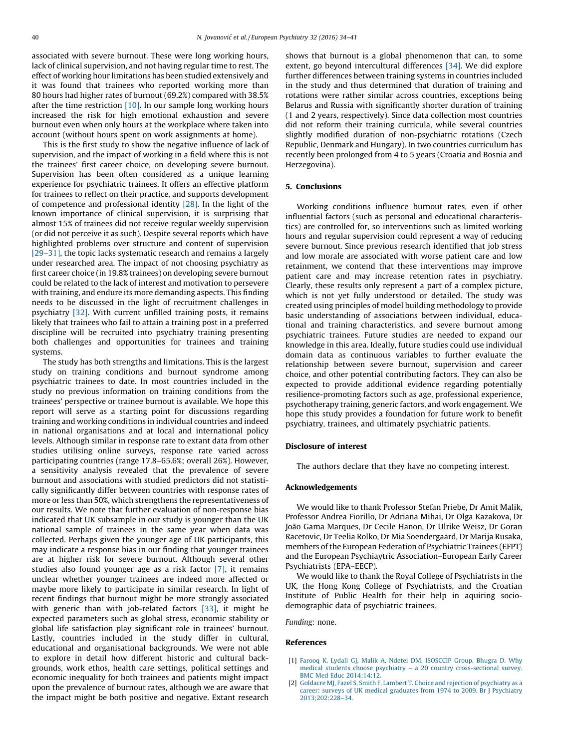<span id="page-6-0"></span>associated with severe burnout. These were long working hours, lack of clinical supervision, and not having regular time to rest. The effect of working hour limitations has been studied extensively and it was found that trainees who reported working more than 80 hours had higher rates of burnout (69.2%) compared with 38.5% after the time restriction [\[10\].](#page-7-0) In our sample long working hours increased the risk for high emotional exhaustion and severe burnout even when only hours at the workplace where taken into account (without hours spent on work assignments at home).

This is the first study to show the negative influence of lack of supervision, and the impact of working in a field where this is not the trainees' first career choice, on developing severe burnout. Supervision has been often considered as a unique learning experience for psychiatric trainees. It offers an effective platform for trainees to reflect on their practice, and supports development of competence and professional identity [\[28\]](#page-7-0). In the light of the known importance of clinical supervision, it is surprising that almost 15% of trainees did not receive regular weekly supervision (or did not perceive it as such). Despite several reports which have highlighted problems over structure and content of supervision [\[29–31\],](#page-7-0) the topic lacks systematic research and remains a largely under researched area. The impact of not choosing psychiatry as first career choice (in 19.8% trainees) on developing severe burnout could be related to the lack of interest and motivation to persevere with training, and endure its more demanding aspects. This finding needs to be discussed in the light of recruitment challenges in psychiatry [\[32\].](#page-7-0) With current unfilled training posts, it remains likely that trainees who fail to attain a training post in a preferred discipline will be recruited into psychiatry training presenting both challenges and opportunities for trainees and training systems.

The study has both strengths and limitations. This is the largest study on training conditions and burnout syndrome among psychiatric trainees to date. In most countries included in the study no previous information on training conditions from the trainees' perspective or trainee burnout is available. We hope this report will serve as a starting point for discussions regarding training and working conditions in individual countries and indeed in national organisations and at local and international policy levels. Although similar in response rate to extant data from other studies utilising online surveys, response rate varied across participating countries (range 17.8–65.6%; overall 26%). However, a sensitivity analysis revealed that the prevalence of severe burnout and associations with studied predictors did not statistically significantly differ between countries with response rates of more or less than 50%, which strengthens the representativeness of our results. We note that further evaluation of non-response bias indicated that UK subsample in our study is younger than the UK national sample of trainees in the same year when data was collected. Perhaps given the younger age of UK participants, this may indicate a response bias in our finding that younger trainees are at higher risk for severe burnout. Although several other studies also found younger age as a risk factor [\[7\]](#page-7-0), it remains unclear whether younger trainees are indeed more affected or maybe more likely to participate in similar research. In light of recent findings that burnout might be more strongly associated with generic than with job-related factors [\[33\],](#page-7-0) it might be expected parameters such as global stress, economic stability or global life satisfaction play significant role in trainees' burnout. Lastly, countries included in the study differ in cultural, educational and organisational backgrounds. We were not able to explore in detail how different historic and cultural backgrounds, work ethos, health care settings, political settings and economic inequality for both trainees and patients might impact upon the prevalence of burnout rates, although we are aware that the impact might be both positive and negative. Extant research

shows that burnout is a global phenomenon that can, to some extent, go beyond intercultural differences [\[34\]](#page-7-0). We did explore further differences between training systems in countries included in the study and thus determined that duration of training and rotations were rather similar across countries, exceptions being Belarus and Russia with significantly shorter duration of training (1 and 2 years, respectively). Since data collection most countries did not reform their training curricula, while several countries slightly modified duration of non-psychiatric rotations (Czech Republic, Denmark and Hungary). In two countries curriculum has recently been prolonged from 4 to 5 years (Croatia and Bosnia and Herzegovina).

## 5. Conclusions

Working conditions influence burnout rates, even if other influential factors (such as personal and educational characteristics) are controlled for, so interventions such as limited working hours and regular supervision could represent a way of reducing severe burnout. Since previous research identified that job stress and low morale are associated with worse patient care and low retainment, we contend that these interventions may improve patient care and may increase retention rates in psychiatry. Clearly, these results only represent a part of a complex picture, which is not yet fully understood or detailed. The study was created using principles of model building methodology to provide basic understanding of associations between individual, educational and training characteristics, and severe burnout among psychiatric trainees. Future studies are needed to expand our knowledge in this area. Ideally, future studies could use individual domain data as continuous variables to further evaluate the relationship between severe burnout, supervision and career choice, and other potential contributing factors. They can also be expected to provide additional evidence regarding potentially resilience-promoting factors such as age, professional experience, psychotherapy training, generic factors, and work engagement. We hope this study provides a foundation for future work to benefit psychiatry, trainees, and ultimately psychiatric patients.

#### Disclosure of interest

The authors declare that they have no competing interest.

## Acknowledgements

We would like to thank Professor Stefan Priebe, Dr Amit Malik, Professor Andrea Fiorillo, Dr Adriana Mihai, Dr Olga Kazakova, Dr João Gama Marques, Dr Cecile Hanon, Dr Ulrike Weisz, Dr Goran Racetovic, Dr Teelia Rolko, Dr Mia Soendergaard, Dr Marija Rusaka, members of the European Federation of Psychiatric Trainees (EFPT) and the European Psychiaytric Association–European Early Career Psychiatrists (EPA–EECP).

We would like to thank the Royal College of Psychiatrists in the UK, the Hong Kong College of Psychiatrists, and the Croatian Institute of Public Health for their help in aquiring sociodemographic data of psychiatric trainees.

#### Funding: none.

#### References

- [1] Farooq K, Lydall GJ, Malik A, Ndetei DM, [ISOSCCIP](http://refhub.elsevier.com/S0924-9338(15)00676-8/sbref0005) Group, Bhugra D. Why medical students choose psychiatry – a 20 country [cross-sectional](http://refhub.elsevier.com/S0924-9338(15)00676-8/sbref0005) survey. BMC Med Educ [2014;14:12.](http://refhub.elsevier.com/S0924-9338(15)00676-8/sbref0005)
- [2] Goldacre MJ, Fazel S, Smith F, Lambert T. Choice and rejection of [psychiatry](http://refhub.elsevier.com/S0924-9338(15)00676-8/sbref0010) as a career: surveys of UK medical graduates from 1974 to 2009. Br J [Psychiatry](http://refhub.elsevier.com/S0924-9338(15)00676-8/sbref0010) [2013;202:228–34.](http://refhub.elsevier.com/S0924-9338(15)00676-8/sbref0010)